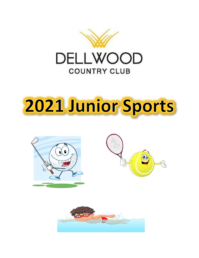

## 2021 Junior Sports





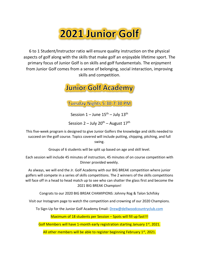## **2021 Junior Golf**

6 to 1 Student/Instructor ratio will ensure quality instruction on the physical aspects of golf along with the skills that make golf an enjoyable lifetime sport. The primary focus of Junior Golf is on skills and golf fundamentals. The enjoyment from Junior Golf comes from a sense of belonging, social interaction, improving skills and competition.

**Junior Golf Academy** 

Tuesday Nights 5:30-7:30 PM

Session  $1 -$  June  $15^{\text{th}} -$  July  $13^{\text{th}}$ 

Session  $2 -$  July  $20<sup>th</sup>$  – August  $17<sup>th</sup>$ 

This five-week program is designed to give Junior Golfers the knowledge and skills needed to succeed on the golf course. Topics covered will include putting, chipping, pitching, and full swing.

Groups of 6 students will be split up based on age and skill level.

Each session will include 45 minutes of instruction, 45 minutes of on course competition with Dinner provided weekly.

As always, we will end the Jr. Golf Academy with our BIG BREAK competition where junior golfers will compete in a series of skills competitions. The 2 winners of the skills competitions will face off in a head to head match up to see who can shatter the glass first and become the 2021 BIG BREAK Champion!

Congrats to our 2020 BIG BREAK CHAMIPIONS: Johnny Rog & Talon Schifsky

Visit our Instagram page to watch the competition and crowning of our 2020 Champions.

To Sign-Up for the Junior Golf Academy Email: [Drew@dellwoodcountryclub.com](mailto:Drew@dellwoodcountryclub.com)

Maximum of 18 students per Session - Spots will fill up fast!!!

Golf Members will have 1-month early registration starting January 1st, 2021.

All other members will be able to register beginning February 1<sup>st</sup>, 2021.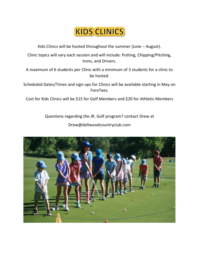## **KIDS CLINICS**

Kids Clinics will be hosted throughout the summer (June – August).

Clinic topics will vary each session and will include: Putting, Chipping/Pitching, Irons, and Drivers.

A maximum of 6 students per Clinic with a minimum of 3 students for a clinic to be hosted.

Scheduled Dates/Times and sign-ups for Clinics will be available starting in May on ForeTees.

Cost for Kids Clinics will be \$15 for Golf Members and \$20 for Athletic Members

Questions regarding the JR. Golf program? contact Drew at Drew@dellwoodcountryclub.com